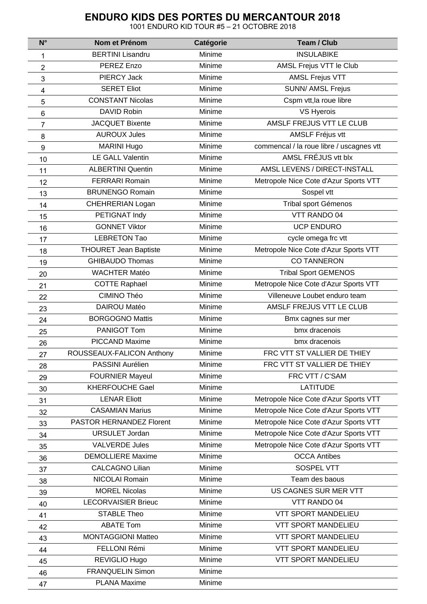## **ENDURO KIDS DES PORTES DU MERCANTOUR 2018**

1001 ENDURO KID TOUR #5 – 21 OCTOBRE 2018

| $N^{\circ}$     | Nom et Prénom                | Catégorie | <b>Team / Club</b>                       |
|-----------------|------------------------------|-----------|------------------------------------------|
| 1               | <b>BERTINI Lisandru</b>      | Minime    | <b>INSULABIKE</b>                        |
| $\overline{2}$  | PEREZ Enzo                   | Minime    | AMSL Frejus VTT le Club                  |
| 3               | <b>PIERCY Jack</b>           | Minime    | <b>AMSL Frejus VTT</b>                   |
| 4               | <b>SERET Eliot</b>           | Minime    | <b>SUNN/ AMSL Frejus</b>                 |
| 5               | <b>CONSTANT Nicolas</b>      | Minime    | Cspm vtt, la roue libre                  |
| $6\phantom{1}6$ | DAVID Robin                  | Minime    | VS Hyerois                               |
| 7               | <b>JACQUET Bixente</b>       | Minime    | AMSLF FREJUS VTT LE CLUB                 |
| 8               | <b>AUROUX Jules</b>          | Minime    | <b>AMSLF Fréjus vtt</b>                  |
| 9               | <b>MARINI Hugo</b>           | Minime    | commencal / la roue libre / uscagnes vtt |
| 10              | LE GALL Valentin             | Minime    | AMSL FRÉJUS vtt blx                      |
| 11              | <b>ALBERTINI Quentin</b>     | Minime    | AMSL LEVENS / DIRECT-INSTALL             |
| 12              | <b>FERRARI Romain</b>        | Minime    | Metropole Nice Cote d'Azur Sports VTT    |
| 13              | <b>BRUNENGO Romain</b>       | Minime    | Sospel vtt                               |
| 14              | CHEHRERIAN Logan             | Minime    | <b>Tribal sport Gémenos</b>              |
| 15              | PETIGNAT Indy                | Minime    | VTT RANDO 04                             |
| 16              | <b>GONNET Viktor</b>         | Minime    | <b>UCP ENDURO</b>                        |
| 17              | <b>LEBRETON Tao</b>          | Minime    | cycle omega frc vtt                      |
| 18              | <b>THOURET Jean Baptiste</b> | Minime    | Metropole Nice Cote d'Azur Sports VTT    |
| 19              | <b>GHIBAUDO Thomas</b>       | Minime    | <b>CO TANNERON</b>                       |
| 20              | <b>WACHTER Matéo</b>         | Minime    | <b>Tribal Sport GEMENOS</b>              |
| 21              | <b>COTTE Raphael</b>         | Minime    | Metropole Nice Cote d'Azur Sports VTT    |
| 22              | CIMINO Théo                  | Minime    | Villeneuve Loubet enduro team            |
| 23              | DAIROU Matéo                 | Minime    | AMSLF FREJUS VTT LE CLUB                 |
| 24              | <b>BORGOGNO Mattis</b>       | Minime    | Bmx cagnes sur mer                       |
| 25              | PANIGOT Tom                  | Minime    | bmx dracenois                            |
| 26              | <b>PICCAND Maxime</b>        | Minime    | bmx dracenois                            |
| 27              | ROUSSEAUX-FALICON Anthony    | Minime    | FRC VTT ST VALLIER DE THIEY              |
| 28              | PASSINI Aurélien             | Minime    | FRC VTT ST VALLIER DE THIEY              |
| 29              | <b>FOURNIER Mayeul</b>       | Minime    | FRC VTT / C'SAM                          |
| 30              | <b>KHERFOUCHE Gael</b>       | Minime    | <b>LATITUDE</b>                          |
| 31              | <b>LENAR Eliott</b>          | Minime    | Metropole Nice Cote d'Azur Sports VTT    |
| 32              | <b>CASAMIAN Marius</b>       | Minime    | Metropole Nice Cote d'Azur Sports VTT    |
| 33              | PASTOR HERNANDEZ Florent     | Minime    | Metropole Nice Cote d'Azur Sports VTT    |
| 34              | <b>URSULET Jordan</b>        | Minime    | Metropole Nice Cote d'Azur Sports VTT    |
| 35              | <b>VALVERDE Jules</b>        | Minime    | Metropole Nice Cote d'Azur Sports VTT    |
| 36              | <b>DEMOLLIERE Maxime</b>     | Minime    | <b>OCCA Antibes</b>                      |
| 37              | <b>CALCAGNO Lilian</b>       | Minime    | SOSPEL VTT                               |
| 38              | NICOLAI Romain               | Minime    | Team des baous                           |
| 39              | <b>MOREL Nicolas</b>         | Minime    | US CAGNES SUR MER VTT                    |
| 40              | <b>LECORVAISIER Brieuc</b>   | Minime    | VTT RANDO 04                             |
| 41              | <b>STABLE Theo</b>           | Minime    | <b>VTT SPORT MANDELIEU</b>               |
| 42              | <b>ABATE Tom</b>             | Minime    | <b>VTT SPORT MANDELIEU</b>               |
| 43              | <b>MONTAGGIONI Matteo</b>    | Minime    | <b>VTT SPORT MANDELIEU</b>               |
| 44              | FELLONI Rémi                 | Minime    | <b>VTT SPORT MANDELIEU</b>               |
| 45              | REVIGLIO Hugo                | Minime    | <b>VTT SPORT MANDELIEU</b>               |
| 46              | <b>FRANQUELIN Simon</b>      | Minime    |                                          |
| 47              | <b>PLANA Maxime</b>          | Minime    |                                          |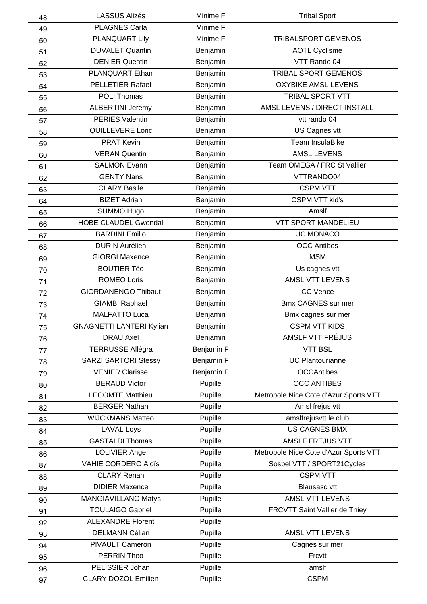| 48       | <b>LASSUS Alizés</b>            | Minime F           | <b>Tribal Sport</b>                   |
|----------|---------------------------------|--------------------|---------------------------------------|
| 49       | <b>PLAGNES Carla</b>            | Minime F           |                                       |
| 50       | PLANQUART Lily                  | Minime F           | <b>TRIBALSPORT GEMENOS</b>            |
| 51       | <b>DUVALET Quantin</b>          | Benjamin           | <b>AOTL Cyclisme</b>                  |
| 52       | <b>DENIER Quentin</b>           | Benjamin           | VTT Rando 04                          |
| 53       | PLANQUART Ethan                 | Benjamin           | TRIBAL SPORT GEMENOS                  |
| 54       | <b>PELLETIER Rafael</b>         | Benjamin           | <b>OXYBIKE AMSL LEVENS</b>            |
| 55       | POLI Thomas                     | Benjamin           | TRIBAL SPORT VTT                      |
| 56       | <b>ALBERTINI Jeremy</b>         | Benjamin           | AMSL LEVENS / DIRECT-INSTALL          |
| 57       | PERIES Valentin                 | Benjamin           | vtt rando 04                          |
| 58       | QUILLEVERE Loric                | Benjamin           | US Cagnes vtt                         |
| 59       | <b>PRAT Kevin</b>               | Benjamin           | <b>Team InsulaBike</b>                |
| 60       | <b>VERAN Quentin</b>            | Benjamin           | <b>AMSL LEVENS</b>                    |
| 61       | <b>SALMON Evann</b>             | Benjamin           | Team OMEGA / FRC St Vallier           |
| 62       | <b>GENTY Nans</b>               | Benjamin           | VTTRANDO04                            |
| 63       | <b>CLARY Basile</b>             | Benjamin           | <b>CSPM VTT</b>                       |
| 64       | <b>BIZET Adrian</b>             | Benjamin           | <b>CSPM VTT kid's</b>                 |
| 65       | SUMMO Hugo                      | Benjamin           | Amslf                                 |
| 66       | <b>HOBE CLAUDEL Gwendal</b>     | Benjamin           | <b>VTT SPORT MANDELIEU</b>            |
| 67       | <b>BARDINI Emilio</b>           | Benjamin           | <b>UC MONACO</b>                      |
| 68       | <b>DURIN Aurélien</b>           | Benjamin           | <b>OCC Antibes</b>                    |
| 69       | <b>GIORGI Maxence</b>           | Benjamin           | <b>MSM</b>                            |
| 70       | <b>BOUTIER Téo</b>              | Benjamin           | Us cagnes vtt                         |
| 71       | <b>ROMEO Loris</b>              | Benjamin           | AMSL VTT LEVENS                       |
| 72       | <b>GIORDANENGO Thibaut</b>      | Benjamin           | <b>CC Vence</b>                       |
| 73       | <b>GIAMBI Raphael</b>           | Benjamin           | <b>Bmx CAGNES sur mer</b>             |
| 74       | <b>MALFATTO Luca</b>            | Benjamin           | Bmx cagnes sur mer                    |
| 75       | <b>GNAGNETTI LANTERI Kylian</b> | Benjamin           | <b>CSPM VTT KIDS</b>                  |
| 76       | <b>DRAU Axel</b>                | Benjamin           | AMSLF VTT FRÉJUS                      |
| 77       | <b>TERRUSSE Allégra</b>         | Benjamin F         | <b>VTT BSL</b>                        |
| 78       | <b>SARZI SARTORI Stessy</b>     | Benjamin F         | <b>UC Plantourianne</b>               |
| 79       | <b>VENIER Clarisse</b>          | Benjamin F         | <b>OCCAntibes</b>                     |
| 80       | <b>BERAUD Victor</b>            | Pupille            | <b>OCC ANTIBES</b>                    |
| 81       | <b>LECOMTE Matthieu</b>         | Pupille            | Metropole Nice Cote d'Azur Sports VTT |
| 82       | <b>BERGER Nathan</b>            | Pupille            | Amsl frejus vtt                       |
| 83       | <b>WIJCKMANS Matteo</b>         | Pupille            | amslfrejusvtt le club                 |
| 84       | <b>LAVAL Loys</b>               | Pupille            | <b>US CAGNES BMX</b>                  |
| 85       | <b>GASTALDI Thomas</b>          | Pupille            | AMSLF FREJUS VTT                      |
| 86       | LOLIVIER Ange                   | Pupille            | Metropole Nice Cote d'Azur Sports VTT |
| 87       | <b>VAHIE CORDERO Aloïs</b>      | Pupille            | Sospel VTT / SPORT21Cycles            |
| 88       | <b>CLARY Renan</b>              | Pupille            | <b>CSPM VTT</b>                       |
| 89       | <b>DIDIER Maxence</b>           | Pupille            | <b>Blausasc vtt</b>                   |
| 90       | MANGIAVILLANO Matys             | Pupille            | AMSL VTT LEVENS                       |
| 91       |                                 |                    | FRCVTT Saint Vallier de Thiey         |
| 92       | <b>TOULAIGO Gabriel</b>         |                    |                                       |
|          | <b>ALEXANDRE Florent</b>        | Pupille            |                                       |
|          | <b>DELMANN Célian</b>           | Pupille            | AMSL VTT LEVENS                       |
| 93       | PIVAULT Cameron                 | Pupille            |                                       |
| 94       | <b>PERRIN Theo</b>              | Pupille<br>Pupille | Cagnes sur mer<br>Frcvtt              |
| 95<br>96 | PELISSIER Johan                 | Pupille            | amslf                                 |